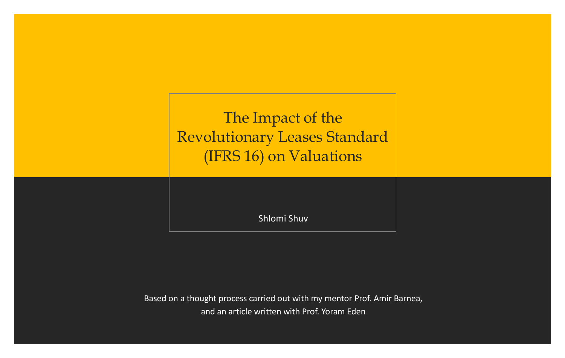The Impact of the Revolutionary Leases Standard (IFRS 16) on Valuations

Shlomi Shuv

Based on a thought process carried out with my mentor Prof. Amir Barnea, and an article written with Prof. Yoram Eden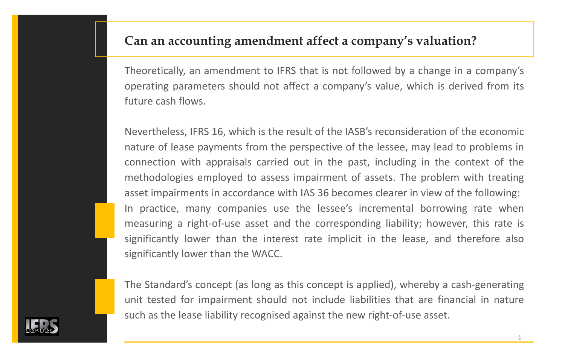### **Can an accounting amendment affect a company's valuation?**

Theoretically, an amendment to IFRS that is not followed by a change in a company's operating parameters should not affect a company's value, which is derived from its future cash flows.

Nevertheless, IFRS 16, which is the result of the IASB's reconsideration of the economic nature of lease payments from the perspective of the lessee, may lead to problems in connection with appraisals carried out in the past, including in the context of the methodologies employed to assess impairment of assets. The problem with treating asset impairments in accordance with IAS 36 becomes clearer in view of the following: In practice, many companies use the lessee's incremental borrowing rate when measuring a right-of-use asset and the corresponding liability; however, this rate is significantly lower than the interest rate implicit in the lease, and therefore also significantly lower than the WACC.

The Standard's concept (as long as this concept is applied), whereby a cash-generating unit tested for impairment should not include liabilities that are financial in nature such as the lease liability recognised against the new right-of-use asset.

1

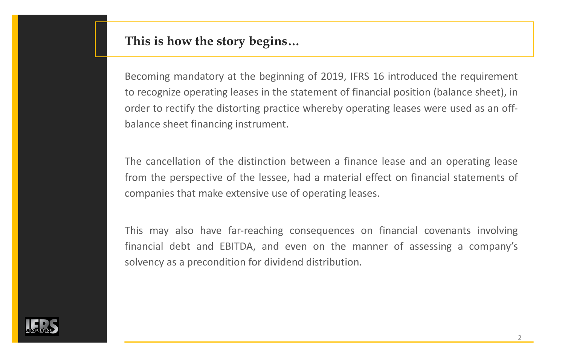#### **This is how the story begins…**

Becoming mandatory at the beginning of 2019, IFRS 16 introduced the requirement to recognize operating leases in the statement of financial position (balance sheet), in order to rectify the distorting practice whereby operating leases were used as an offbalance sheet financing instrument.

The cancellation of the distinction between a finance lease and an operating lease from the perspective of the lessee, had a material effect on financial statements of companies that make extensive use of operating leases.

This may also have far-reaching consequences on financial covenants involving financial debt and EBITDA, and even on the manner of assessing a company's solvency as a precondition for dividend distribution.

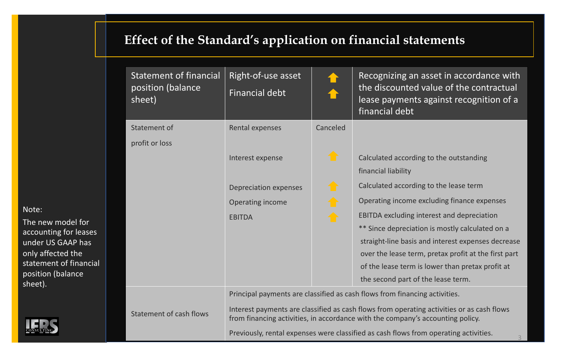## **Effect of the Standard's application on financial statements**

| <b>Statement of financial</b><br>position (balance<br>sheet) | Right-of-use asset<br><b>Financial debt</b>                                                                                                                                 |          | Recognizing an asset in accordance with<br>the discounted value of the contractual<br>lease payments against recognition of a<br>financial debt |  |
|--------------------------------------------------------------|-----------------------------------------------------------------------------------------------------------------------------------------------------------------------------|----------|-------------------------------------------------------------------------------------------------------------------------------------------------|--|
| Statement of                                                 | Rental expenses                                                                                                                                                             | Canceled |                                                                                                                                                 |  |
| profit or loss                                               |                                                                                                                                                                             |          |                                                                                                                                                 |  |
|                                                              | Interest expense                                                                                                                                                            |          | Calculated according to the outstanding                                                                                                         |  |
|                                                              |                                                                                                                                                                             |          | financial liability                                                                                                                             |  |
|                                                              | Depreciation expenses                                                                                                                                                       |          | Calculated according to the lease term                                                                                                          |  |
|                                                              | Operating income                                                                                                                                                            |          | Operating income excluding finance expenses                                                                                                     |  |
|                                                              | <b>EBITDA</b>                                                                                                                                                               |          | EBITDA excluding interest and depreciation                                                                                                      |  |
|                                                              |                                                                                                                                                                             |          | ** Since depreciation is mostly calculated on a                                                                                                 |  |
|                                                              |                                                                                                                                                                             |          | straight-line basis and interest expenses decrease                                                                                              |  |
|                                                              |                                                                                                                                                                             |          | over the lease term, pretax profit at the first part                                                                                            |  |
|                                                              |                                                                                                                                                                             |          | of the lease term is lower than pretax profit at                                                                                                |  |
|                                                              |                                                                                                                                                                             |          | the second part of the lease term.                                                                                                              |  |
|                                                              | Principal payments are classified as cash flows from financing activities.                                                                                                  |          |                                                                                                                                                 |  |
| Statement of cash flows                                      | Interest payments are classified as cash flows from operating activities or as cash flows<br>from financing activities, in accordance with the company's accounting policy. |          |                                                                                                                                                 |  |
|                                                              | Previously, rental expenses were classified as cash flows from operating activities.                                                                                        |          |                                                                                                                                                 |  |

Note:

The new model for accounting for leases under US GAAP has only affected the statement of financial position (balance sheet).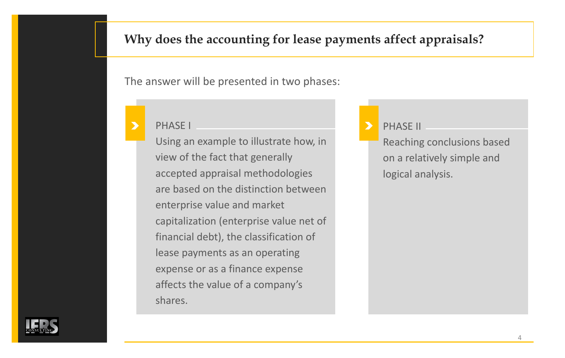### **Why does the accounting for lease payments affect appraisals?**

The answer will be presented in two phases:

#### PHASE I

Using an example to illustrate how, in view of the fact that generally accepted appraisal methodologies are based on the distinction between enterprise value and market capitalization (enterprise value net of financial debt), the classification of lease payments as an operating expense or as a finance expense affects the value of a company's shares.

### PHASE II

Reaching conclusions based on a relatively simple and logical analysis.

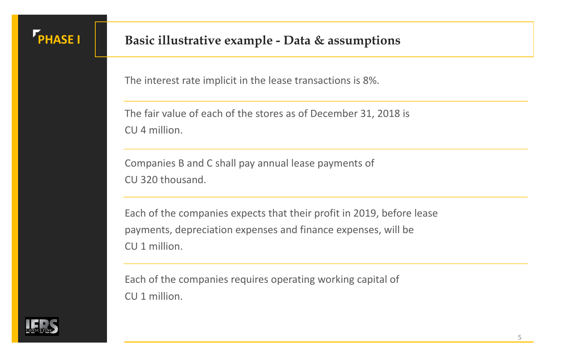# **PHASE I Basic illustrative example - Data & assumptions**

The interest rate implicit in the lease transactions is 8%.

The fair value of each of the stores as of December 31, 2018 is CU 4 million.

Companies B and C shall pay annual lease payments of CU 320 thousand.

Each of the companies expects that their profit in 2019, before lease payments, depreciation expenses and finance expenses, will be CU 1 million.

Each of the companies requires operating working capital of CU 1 million.

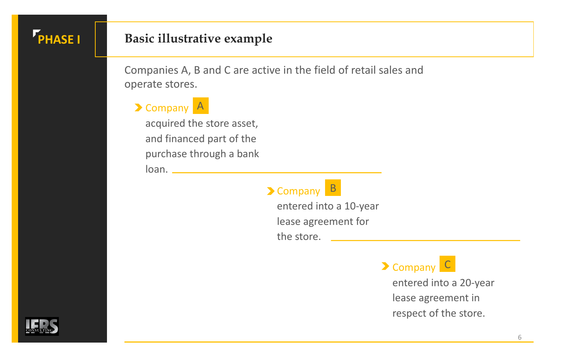## **PHASE I**

## **Basic illustrative example**

Companies A, B and C are active in the field of retail sales and operate stores.

## Company A

acquired the store asset, and financed part of the purchase through a bank loan.

## Company B

entered into a 10-year lease agreement for the store.

Company C

entered into a 20-year lease agreement in respect of the store.

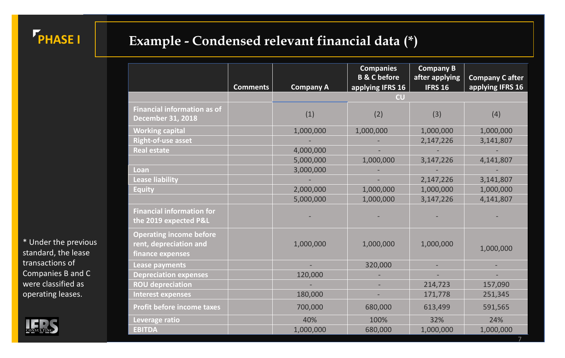

## **Example - Condensed relevant financial data (\*)**

|                                    |                 |                  | <b>Companies</b>                           | <b>Company B</b> |                       |
|------------------------------------|-----------------|------------------|--------------------------------------------|------------------|-----------------------|
|                                    |                 |                  | <b>B &amp; C before</b>                    | after applying   | <b>Company Cafter</b> |
|                                    | <b>Comments</b> | <b>Company A</b> | applying IFRS 16<br>$\mathsf{c}\mathsf{u}$ | <b>IFRS 16</b>   | applying IFRS 16      |
|                                    |                 |                  |                                            |                  |                       |
| <b>Financial information as of</b> |                 | (1)              | (2)                                        | (3)              | (4)                   |
| <b>December 31, 2018</b>           |                 |                  |                                            |                  |                       |
| <b>Working capital</b>             |                 | 1,000,000        | 1,000,000                                  | 1,000,000        | 1,000,000             |
| <b>Right-of-use asset</b>          |                 |                  |                                            | 2,147,226        | 3,141,807             |
| <b>Real estate</b>                 |                 | 4,000,000        |                                            |                  |                       |
|                                    |                 | 5,000,000        | 1,000,000                                  | 3,147,226        | 4,141,807             |
| Loan                               |                 | 3,000,000        |                                            |                  |                       |
| <b>Lease liability</b>             |                 |                  |                                            | 2,147,226        | 3,141,807             |
| <b>Equity</b>                      |                 | 2,000,000        | 1,000,000                                  | 1,000,000        | 1,000,000             |
|                                    |                 | 5,000,000        | 1,000,000                                  | 3,147,226        | 4,141,807             |
| <b>Financial information for</b>   |                 |                  |                                            |                  |                       |
| the 2019 expected P&L              |                 |                  |                                            |                  |                       |
| <b>Operating income before</b>     |                 |                  |                                            |                  |                       |
| rent, depreciation and             |                 | 1,000,000        | 1,000,000                                  | 1,000,000        | 1,000,000             |
| finance expenses                   |                 |                  |                                            |                  |                       |
| <b>Lease payments</b>              |                 |                  | 320,000                                    |                  |                       |
| <b>Depreciation expenses</b>       |                 | 120,000          |                                            |                  |                       |
| <b>ROU depreciation</b>            |                 |                  |                                            | 214,723          | 157,090               |
| <b>Interest expenses</b>           |                 | 180,000          |                                            | 171,778          | 251,345               |
| <b>Profit before income taxes</b>  |                 | 700,000          | 680,000                                    | 613,499          | 591,565               |
| Leverage ratio                     |                 | 40%              | 100%                                       | 32%              | 24%                   |
| <b>EBITDA</b>                      |                 | 1,000,000        | 680,000                                    | 1,000,000        | 1,000,000             |

\* Under the previous standard, the lease transactions of Companies B and C were classified as operating leases.

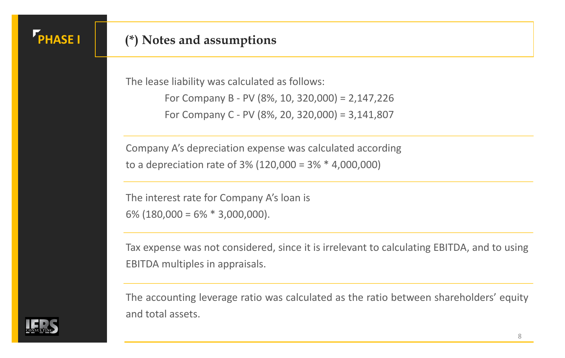## **PHASE I**

### **(\*) Notes and assumptions**

The lease liability was calculated as follows: For Company B - PV (8%, 10, 320,000) = 2,147,226 For Company C - PV (8%, 20, 320,000) = 3,141,807

Company A's depreciation expense was calculated according to a depreciation rate of 3% (120,000 = 3% \* 4,000,000)

The interest rate for Company A's loan is  $6\%$  (180,000 =  $6\%$  \* 3,000,000).

Tax expense was not considered, since it is irrelevant to calculating EBITDA, and to using EBITDA multiples in appraisals.

The accounting leverage ratio was calculated as the ratio between shareholders' equity and total assets.

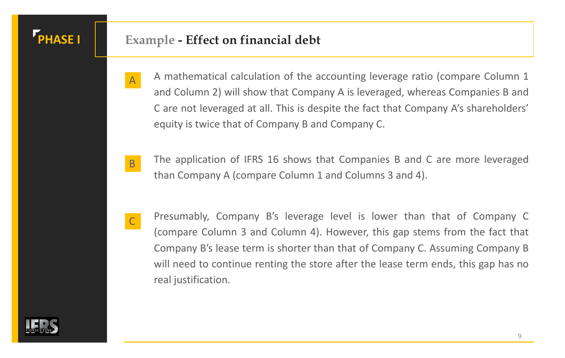A

C

## **PHASE I Example - Effect on financial debt**

- A mathematical calculation of the accounting leverage ratio (compare Column 1 and Column 2) will show that Company A is leveraged, whereas Companies B and C are not leveraged at all. This is despite the fact that Company A's shareholders' equity is twice that of Company B and Company C.
- The application of IFRS 16 shows that Companies B and C are more leveraged than Company A (compare Column 1 and Columns 3 and 4). B
	- Presumably, Company B's leverage level is lower than that of Company C (compare Column 3 and Column 4). However, this gap stems from the fact that Company B's lease term is shorter than that of Company C. Assuming Company B will need to continue renting the store after the lease term ends, this gap has no real justification.

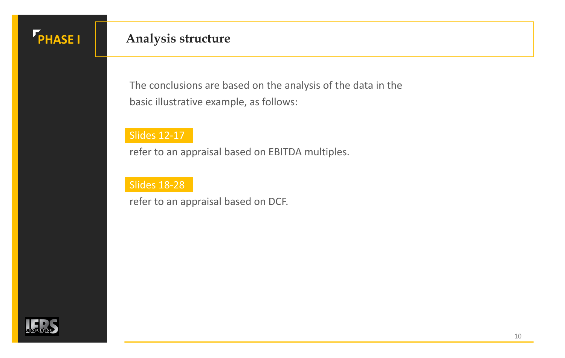## **PHASE I Analysis structure**

The conclusions are based on the analysis of the data in the basic illustrative example, as follows:

#### Slides 12-17

refer to an appraisal based on EBITDA multiples.

#### Slides 18-28

refer to an appraisal based on DCF.

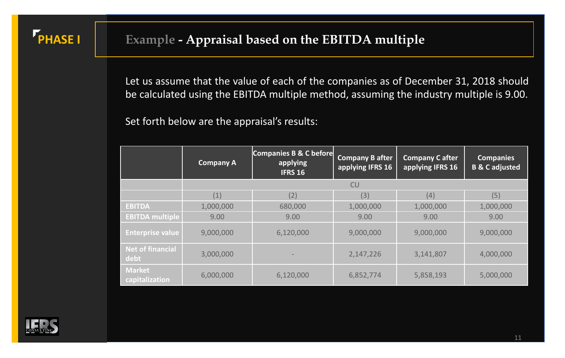**PHASE I** 

Let us assume that the value of each of the companies as of December 31, 2018 should be calculated using the EBITDA multiple method, assuming the industry multiple is 9.00.

Set forth below are the appraisal's results:

|                                 | <b>Company A</b> | Companies B & C before<br>applying<br><b>IFRS 16</b> | <b>Company B after</b><br>applying IFRS 16 | <b>Company C after</b><br>applying IFRS 16 | <b>Companies</b><br><b>B &amp; C adjusted</b> |
|---------------------------------|------------------|------------------------------------------------------|--------------------------------------------|--------------------------------------------|-----------------------------------------------|
|                                 |                  |                                                      | <b>CU</b>                                  |                                            |                                               |
|                                 | (1)              | (2)                                                  | (3)                                        | (4)                                        | (5)                                           |
| <b>EBITDA</b>                   | 1,000,000        | 680,000                                              | 1,000,000                                  | 1,000,000                                  | 1,000,000                                     |
| <b>EBITDA multiple</b>          | 9.00             | 9.00                                                 | 9.00                                       | 9.00                                       | 9.00                                          |
| <b>Enterprise value</b>         | 9,000,000        | 6,120,000                                            | 9,000,000                                  | 9,000,000                                  | 9,000,000                                     |
| <b>Net of financial</b><br>debt | 3,000,000        |                                                      | 2,147,226                                  | 3,141,807                                  | 4,000,000                                     |
| <b>Market</b><br>capitalization | 6,000,000        | 6,120,000                                            | 6,852,774                                  | 5,858,193                                  | 5,000,000                                     |

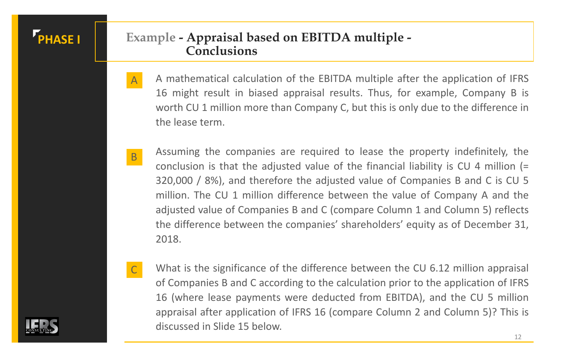## **PHASE I Example - Appraisal based on EBITDA multiple - Conclusions**

- A mathematical calculation of the EBITDA multiple after the application of IFRS 16 might result in biased appraisal results. Thus, for example, Company B is worth CU 1 million more than Company C, but this is only due to the difference in the lease term. A
- Assuming the companies are required to lease the property indefinitely, the conclusion is that the adjusted value of the financial liability is CU 4 million (= 320,000 / 8%), and therefore the adjusted value of Companies B and C is CU 5 million. The CU 1 million difference between the value of Company A and the adjusted value of Companies B and C (compare Column 1 and Column 5) reflects the difference between the companies' shareholders' equity as of December 31, 2018. B
	- What is the significance of the difference between the CU 6.12 million appraisal of Companies B and C according to the calculation prior to the application of IFRS 16 (where lease payments were deducted from EBITDA), and the CU 5 million appraisal after application of IFRS 16 (compare Column 2 and Column 5)? This is discussed in Slide 15 below.



C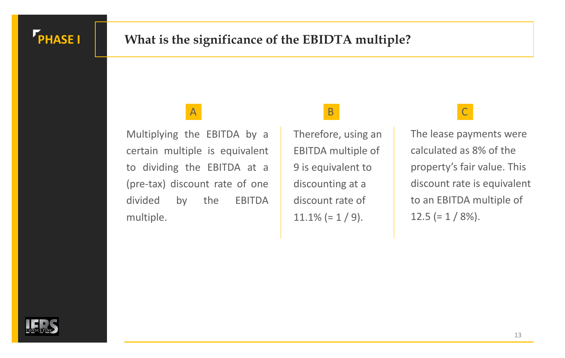

## **PHASE I** What is the significance of the EBIDTA multiple?

## A B C

Multiplying the EBITDA by a certain multiple is equivalent to dividing the EBITDA at a (pre-tax) discount rate of one divided by the EBITDA multiple.

Therefore, using an EBITDA multiple of 9 is equivalent to discounting at a discount rate of  $11.1\%$  (= 1 / 9).

The lease payments were calculated as 8% of the property's fair value. This discount rate is equivalent to an EBITDA multiple of  $12.5 (= 1 / 8\%).$ 

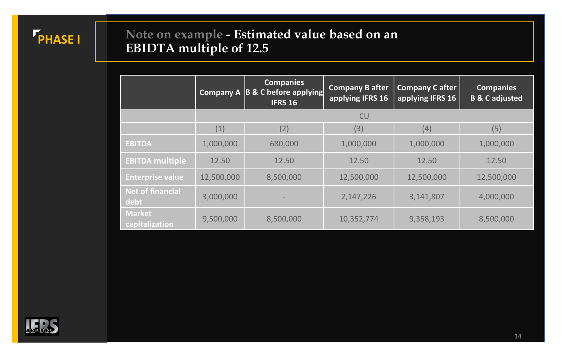

## **Note on example - Estimated value based on an EBIDTA multiple of 12.5**

|                                 |            | <b>Companies</b><br>Company A B & C before applying<br><b>IFRS 16</b> | <b>Company B after</b><br>applying IFRS 16 | Company C after<br>applying IFRS 16 | <b>Companies</b><br><b>B &amp; C adjusted</b> |
|---------------------------------|------------|-----------------------------------------------------------------------|--------------------------------------------|-------------------------------------|-----------------------------------------------|
|                                 |            |                                                                       | <b>CU</b>                                  |                                     |                                               |
|                                 | (1)        | (2)                                                                   | (3)                                        | (4)                                 | (5)                                           |
| <b>EBITDA</b>                   | 1,000,000  | 680,000                                                               | 1,000,000                                  | 1,000,000                           | 1,000,000                                     |
| <b>EBITDA multiple</b>          | 12.50      | 12.50                                                                 | 12.50                                      | 12.50                               | 12.50                                         |
| <b>Enterprise value</b>         | 12,500,000 | 8,500,000                                                             | 12,500,000                                 | 12,500,000                          | 12,500,000                                    |
| <b>Net of financial</b><br>debt | 3,000,000  |                                                                       | 2,147,226                                  | 3,141,807                           | 4,000,000                                     |
| <b>Market</b><br>capitalization | 9,500,000  | 8,500,000                                                             | 10,352,774                                 | 9,358,193                           | 8,500,000                                     |

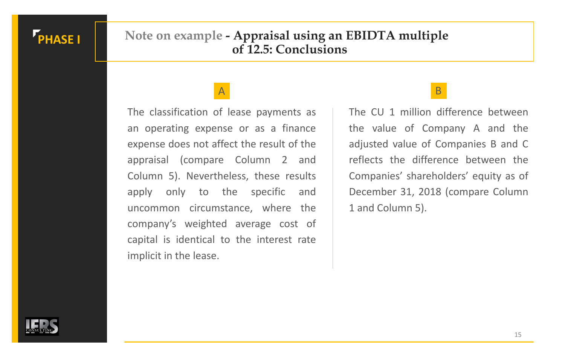## **PHASE I**

### **Note on example - Appraisal using an EBIDTA multiple of 12.5: Conclusions**

### A B

The classification of lease payments as an operating expense or as a finance expense does not affect the result of the appraisal (compare Column 2 and Column 5). Nevertheless, these results apply only to the specific and uncommon circumstance, where the company's weighted average cost of capital is identical to the interest rate implicit in the lease.

The CU 1 million difference between the value of Company A and the adjusted value of Companies B and C reflects the difference between the Companies' shareholders' equity as of December 31, 2018 (compare Column 1 and Column 5).

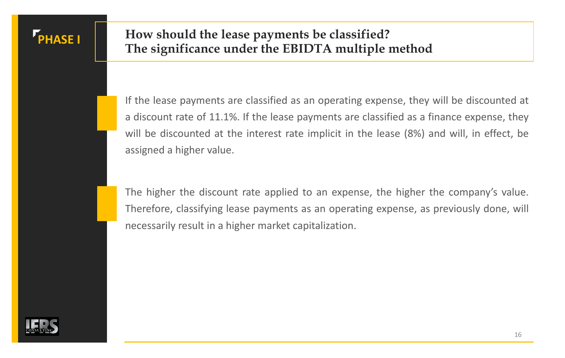### **PHASE I How should the lease payments be classified? The significance under the EBIDTA multiple method**

If the lease payments are classified as an operating expense, they will be discounted at a discount rate of 11.1%. If the lease payments are classified as a finance expense, they will be discounted at the interest rate implicit in the lease (8%) and will, in effect, be assigned a higher value.

The higher the discount rate applied to an expense, the higher the company's value. Therefore, classifying lease payments as an operating expense, as previously done, will necessarily result in a higher market capitalization.

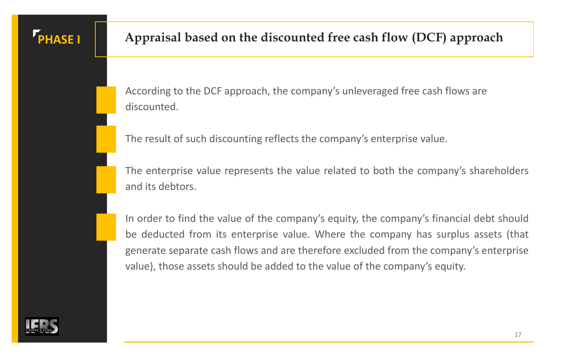

According to the DCF approach, the company's unleveraged free cash flows are discounted.

The result of such discounting reflects the company's enterprise value.

The enterprise value represents the value related to both the company's shareholders and its debtors.

In order to find the value of the company's equity, the company's financial debt should be deducted from its enterprise value. Where the company has surplus assets (that generate separate cash flows and are therefore excluded from the company's enterprise value), those assets should be added to the value of the company's equity.

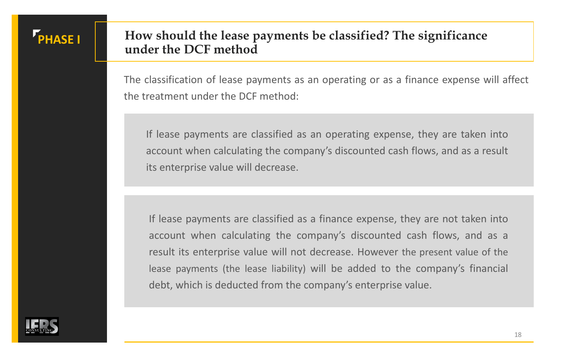### **PHASE I How should the lease payments be classified? The significance under the DCF method**

The classification of lease payments as an operating or as a finance expense will affect the treatment under the DCF method:

If lease payments are classified as an operating expense, they are taken into account when calculating the company's discounted cash flows, and as a result its enterprise value will decrease.

If lease payments are classified as a finance expense, they are not taken into account when calculating the company's discounted cash flows, and as a result its enterprise value will not decrease. However the present value of the lease payments (the lease liability) will be added to the company's financial debt, which is deducted from the company's enterprise value.

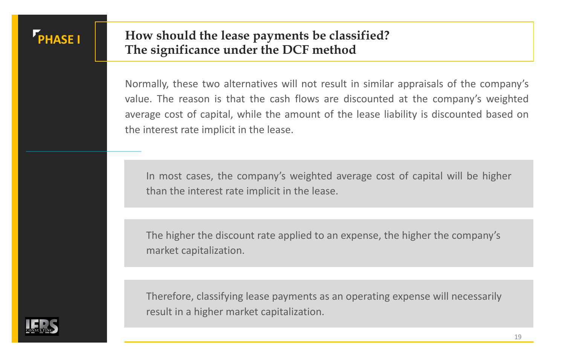## **PHASE I How should the lease payments be classified? The significance under the DCF method**

Normally, these two alternatives will not result in similar appraisals of the company's value. The reason is that the cash flows are discounted at the company's weighted average cost of capital, while the amount of the lease liability is discounted based on the interest rate implicit in the lease.

In most cases, the company's weighted average cost of capital will be higher than the interest rate implicit in the lease.

The higher the discount rate applied to an expense, the higher the company's market capitalization.

Therefore, classifying lease payments as an operating expense will necessarily result in a higher market capitalization.

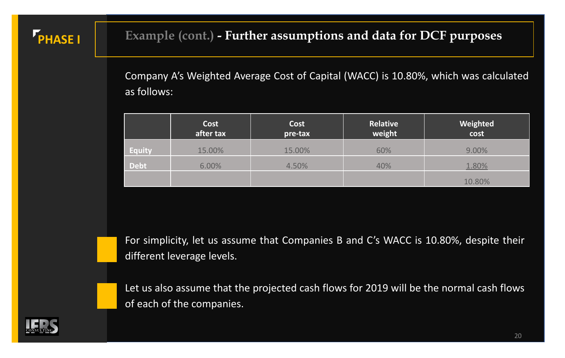## **PHASE I** Example (cont.) - **Further assumptions and data for DCF purposes**

Company A's Weighted Average Cost of Capital (WACC) is 10.80%, which was calculated as follows:

|               | Cost<br>after tax | <b>Cost</b><br>pre-tax | Relative<br>weight | Weighted<br>cost |
|---------------|-------------------|------------------------|--------------------|------------------|
| <b>Equity</b> | 15.00%            | 15.00%                 | 60%                | 9.00%            |
| <b>Debt</b>   | 6.00%             | 4.50%                  | 40%                | 1.80%            |
|               |                   |                        |                    | 10.80%           |

For simplicity, let us assume that Companies B and C's WACC is 10.80%, despite their different leverage levels.



Let us also assume that the projected cash flows for 2019 will be the normal cash flows of each of the companies.

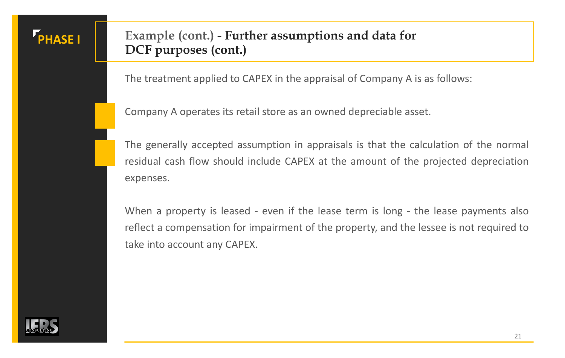## **PHASE I Example (cont.) - Further assumptions and data for DCF purposes (cont.)**

The treatment applied to CAPEX in the appraisal of Company A is as follows:

Company A operates its retail store as an owned depreciable asset.

The generally accepted assumption in appraisals is that the calculation of the normal residual cash flow should include CAPEX at the amount of the projected depreciation expenses.

When a property is leased - even if the lease term is long - the lease payments also reflect a compensation for impairment of the property, and the lessee is not required to take into account any CAPEX.

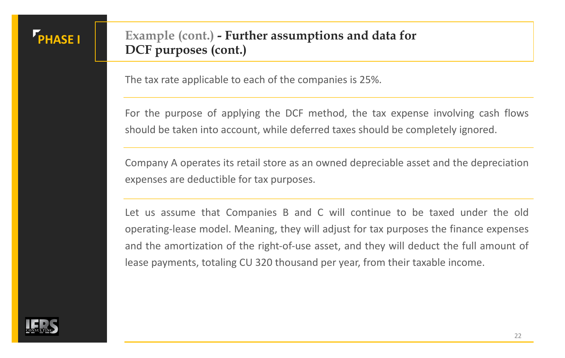## **PHASE I Example (cont.) - Further assumptions and data for DCF purposes (cont.)**

The tax rate applicable to each of the companies is 25%.

For the purpose of applying the DCF method, the tax expense involving cash flows should be taken into account, while deferred taxes should be completely ignored.

Company A operates its retail store as an owned depreciable asset and the depreciation expenses are deductible for tax purposes.

Let us assume that Companies B and C will continue to be taxed under the old operating-lease model. Meaning, they will adjust for tax purposes the finance expenses and the amortization of the right-of-use asset, and they will deduct the full amount of lease payments, totaling CU 320 thousand per year, from their taxable income.

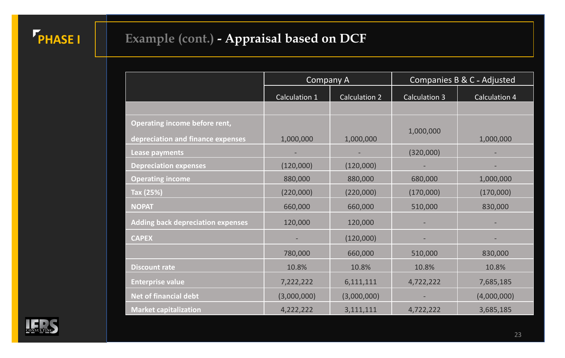# **PHASE I Example (cont.) - Appraisal based on DCF**

|                                                                    | <b>Company A</b> |               | Companies B & C - Adjusted |               |
|--------------------------------------------------------------------|------------------|---------------|----------------------------|---------------|
|                                                                    | Calculation 1    | Calculation 2 | <b>Calculation 3</b>       | Calculation 4 |
|                                                                    |                  |               |                            |               |
| Operating income before rent,<br>depreciation and finance expenses | 1,000,000        | 1,000,000     | 1,000,000                  | 1,000,000     |
| <b>Lease payments</b>                                              |                  |               | (320,000)                  |               |
| <b>Depreciation expenses</b>                                       | (120,000)        | (120,000)     |                            |               |
| <b>Operating income</b>                                            | 880,000          | 880,000       | 680,000                    | 1,000,000     |
| Tax (25%)                                                          | (220,000)        | (220,000)     | (170,000)                  | (170,000)     |
| <b>NOPAT</b>                                                       | 660,000          | 660,000       | 510,000                    | 830,000       |
| <b>Adding back depreciation expenses</b>                           | 120,000          | 120,000       |                            |               |
| <b>CAPEX</b>                                                       |                  | (120,000)     |                            |               |
|                                                                    | 780,000          | 660,000       | 510,000                    | 830,000       |
| <b>Discount rate</b>                                               | 10.8%            | 10.8%         | 10.8%                      | 10.8%         |
| <b>Enterprise value</b>                                            | 7,222,222        | 6,111,111     | 4,722,222                  | 7,685,185     |
| Net of financial debt                                              | (3,000,000)      | (3,000,000)   |                            | (4,000,000)   |
| <b>Market capitalization</b>                                       | 4,222,222        | 3,111,111     | 4,722,222                  | 3,685,185     |

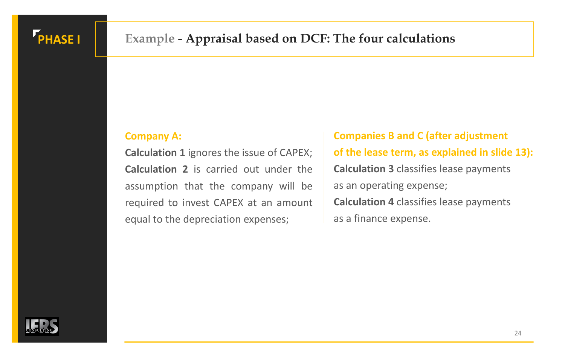

## **PHASE I Example - Appraisal based on DCF: The four calculations**

#### **Company A:**

**Calculation 1** ignores the issue of CAPEX; **Calculation 2** is carried out under the assumption that the company will be required to invest CAPEX at an amount equal to the depreciation expenses;

**Companies B and C (after adjustment of the lease term, as explained in slide 13): Calculation 3** classifies lease payments as an operating expense; **Calculation 4** classifies lease payments as a finance expense.

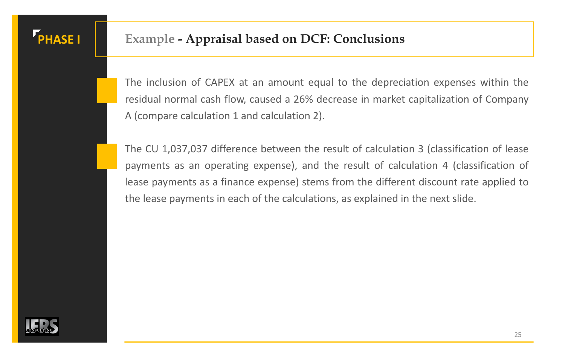

## **PHASE I Example - Appraisal based on DCF: Conclusions**

The inclusion of CAPEX at an amount equal to the depreciation expenses within the residual normal cash flow, caused a 26% decrease in market capitalization of Company A (compare calculation 1 and calculation 2).

The CU 1,037,037 difference between the result of calculation 3 (classification of lease payments as an operating expense), and the result of calculation 4 (classification of lease payments as a finance expense) stems from the different discount rate applied to the lease payments in each of the calculations, as explained in the next slide.

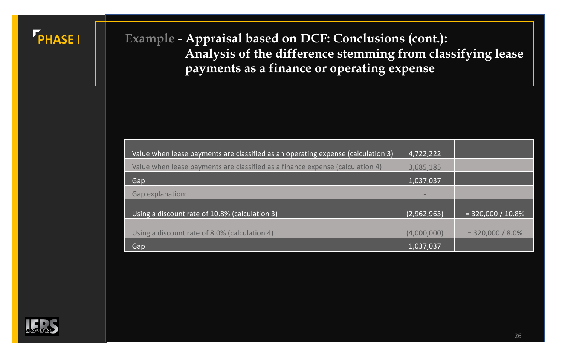

## **PHASE I Example - Appraisal based on DCF: Conclusions (cont.): Analysis of the difference stemming from classifying lease payments as a finance or operating expense**

| Value when lease payments are classified as an operating expense (calculation 3) | 4,722,222   |                     |
|----------------------------------------------------------------------------------|-------------|---------------------|
| Value when lease payments are classified as a finance expense (calculation 4)    | 3,685,185   |                     |
| Gap                                                                              | 1,037,037   |                     |
| Gap explanation:                                                                 |             |                     |
|                                                                                  |             |                     |
| Using a discount rate of 10.8% (calculation 3)                                   | (2,962,963) | $= 320,000 / 10.8%$ |
|                                                                                  |             |                     |
| Using a discount rate of 8.0% (calculation 4)                                    | (4,000,000) | $= 320,000 / 8.0\%$ |
| Gap                                                                              | 1,037,037   |                     |

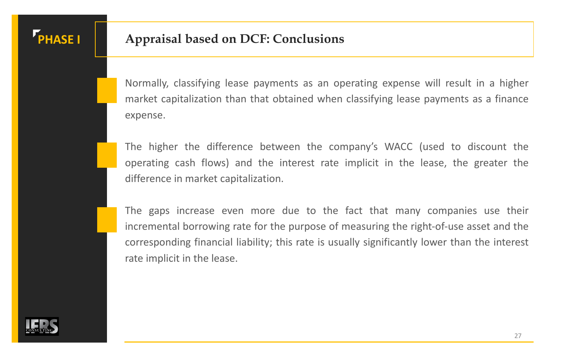

## **PHASE I Appraisal based on DCF: Conclusions**

Normally, classifying lease payments as an operating expense will result in a higher market capitalization than that obtained when classifying lease payments as a finance expense.

The higher the difference between the company's WACC (used to discount the operating cash flows) and the interest rate implicit in the lease, the greater the difference in market capitalization.

The gaps increase even more due to the fact that many companies use their incremental borrowing rate for the purpose of measuring the right-of-use asset and the corresponding financial liability; this rate is usually significantly lower than the interest rate implicit in the lease.

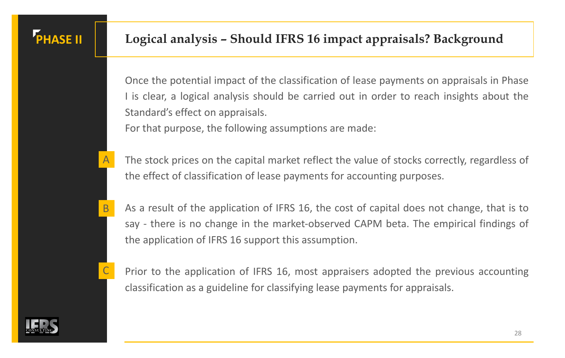

Once the potential impact of the classification of lease payments on appraisals in Phase I is clear, a logical analysis should be carried out in order to reach insights about the Standard's effect on appraisals.

For that purpose, the following assumptions are made:

- The stock prices on the capital market reflect the value of stocks correctly, regardless of the effect of classification of lease payments for accounting purposes.
- As a result of the application of IFRS 16, the cost of capital does not change, that is to say - there is no change in the market-observed CAPM beta. The empirical findings of the application of IFRS 16 support this assumption.



A

B

Prior to the application of IFRS 16, most appraisers adopted the previous accounting classification as a guideline for classifying lease payments for appraisals.

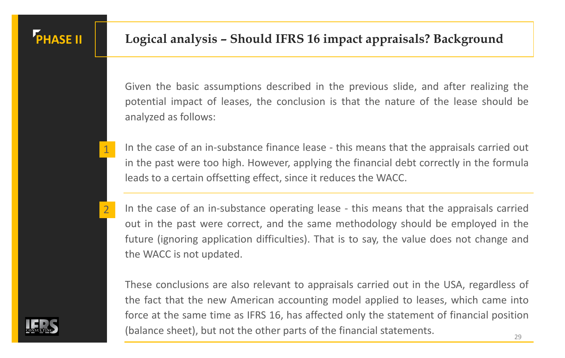

1

2

Given the basic assumptions described in the previous slide, and after realizing the potential impact of leases, the conclusion is that the nature of the lease should be analyzed as follows:

- In the case of an in-substance finance lease this means that the appraisals carried out in the past were too high. However, applying the financial debt correctly in the formula leads to a certain offsetting effect, since it reduces the WACC.
- In the case of an in-substance operating lease this means that the appraisals carried out in the past were correct, and the same methodology should be employed in the future (ignoring application difficulties). That is to say, the value does not change and the WACC is not updated.

These conclusions are also relevant to appraisals carried out in the USA, regardless of the fact that the new American accounting model applied to leases, which came into force at the same time as IFRS 16, has affected only the statement of financial position (balance sheet), but not the other parts of the financial statements.

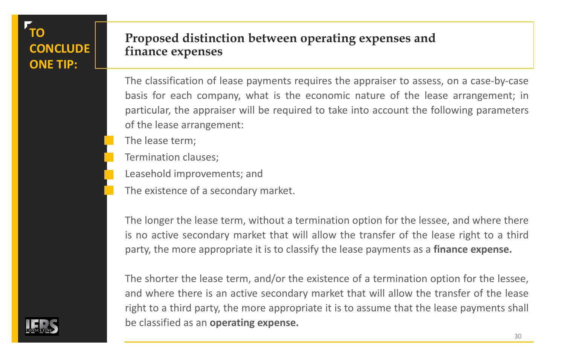## **TO CONCLUDE ONE TIP:**

### **Proposed distinction between operating expenses and finance expenses**

The classification of lease payments requires the appraiser to assess, on a case-by-case basis for each company, what is the economic nature of the lease arrangement; in particular, the appraiser will be required to take into account the following parameters of the lease arrangement:

- The lease term;
- Termination clauses;
- Leasehold improvements; and
- The existence of a secondary market.

The longer the lease term, without a termination option for the lessee, and where there is no active secondary market that will allow the transfer of the lease right to a third party, the more appropriate it is to classify the lease payments as a **finance expense.**

The shorter the lease term, and/or the existence of a termination option for the lessee, and where there is an active secondary market that will allow the transfer of the lease right to a third party, the more appropriate it is to assume that the lease payments shall be classified as an **operating expense.**